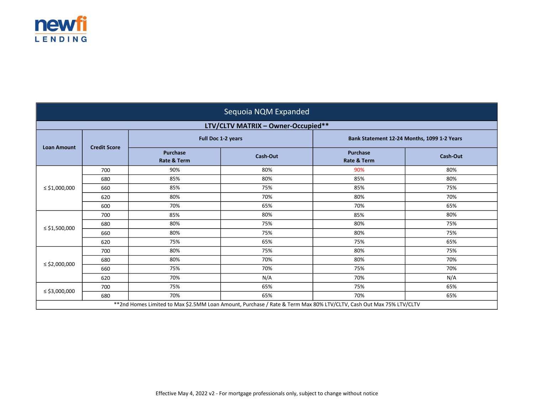

| Sequoia NQM Expanded                                                                                               |                     |                                           |                                    |                                             |                 |
|--------------------------------------------------------------------------------------------------------------------|---------------------|-------------------------------------------|------------------------------------|---------------------------------------------|-----------------|
|                                                                                                                    |                     |                                           | LTV/CLTV MATRIX - Owner-Occupied** |                                             |                 |
|                                                                                                                    |                     | Full Doc 1-2 years                        |                                    | Bank Statement 12-24 Months, 1099 1-2 Years |                 |
| <b>Loan Amount</b>                                                                                                 | <b>Credit Score</b> | <b>Purchase</b><br><b>Rate &amp; Term</b> | <b>Cash-Out</b>                    | <b>Purchase</b><br><b>Rate &amp; Term</b>   | <b>Cash-Out</b> |
|                                                                                                                    | 700                 | 90%                                       | 80%                                | 90%                                         | 80%             |
|                                                                                                                    | 680                 | 85%                                       | 80%                                | 85%                                         | 80%             |
| $\le$ \$1,000,000                                                                                                  | 660                 | 85%                                       | 75%                                | 85%                                         | 75%             |
|                                                                                                                    | 620                 | 80%                                       | 70%                                | 80%                                         | 70%             |
|                                                                                                                    | 600                 | 70%                                       | 65%                                | 70%                                         | 65%             |
|                                                                                                                    | 700                 | 85%                                       | 80%                                | 85%                                         | 80%             |
|                                                                                                                    | 680                 | 80%                                       | 75%                                | 80%                                         | 75%             |
| $\le$ \$1,500,000                                                                                                  | 660                 | 80%                                       | 75%                                | 80%                                         | 75%             |
|                                                                                                                    | 620                 | 75%                                       | 65%                                | 75%                                         | 65%             |
| $\le$ \$2,000,000                                                                                                  | 700                 | 80%                                       | 75%                                | 80%                                         | 75%             |
|                                                                                                                    | 680                 | 80%                                       | 70%                                | 80%                                         | 70%             |
|                                                                                                                    | 660                 | 75%                                       | 70%                                | 75%                                         | 70%             |
|                                                                                                                    | 620                 | 70%                                       | N/A                                | 70%                                         | N/A             |
|                                                                                                                    | 700                 | 75%                                       | 65%                                | 75%                                         | 65%             |
| ≤ \$3,000,000                                                                                                      | 680                 | 70%                                       | 65%                                | 70%                                         | 65%             |
| **2nd Homes Limited to Max \$2.5MM Loan Amount, Purchase / Rate & Term Max 80% LTV/CLTV, Cash Out Max 75% LTV/CLTV |                     |                                           |                                    |                                             |                 |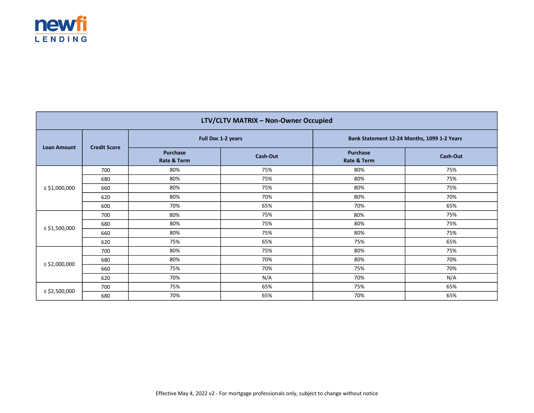

| LTV/CLTV MATRIX - Non-Owner Occupied |                     |                         |          |                                             |                 |
|--------------------------------------|---------------------|-------------------------|----------|---------------------------------------------|-----------------|
| <b>Loan Amount</b>                   |                     | Full Doc 1-2 years      |          | Bank Statement 12-24 Months, 1099 1-2 Years |                 |
|                                      | <b>Credit Score</b> | Purchase<br>Rate & Term | Cash-Out | Purchase<br>Rate & Term                     | <b>Cash-Out</b> |
|                                      | 700                 | 80%                     | 75%      | 80%                                         | 75%             |
|                                      | 680                 | 80%                     | 75%      | 80%                                         | 75%             |
| ≤ \$1,000,000                        | 660                 | 80%                     | 75%      | 80%                                         | 75%             |
|                                      | 620                 | 80%                     | 70%      | 80%                                         | 70%             |
|                                      | 600                 | 70%                     | 65%      | 70%                                         | 65%             |
|                                      | 700                 | 80%                     | 75%      | 80%                                         | 75%             |
|                                      | 680                 | 80%                     | 75%      | 80%                                         | 75%             |
| ≤ \$1,500,000                        | 660                 | 80%                     | 75%      | 80%                                         | 75%             |
|                                      | 620                 | 75%                     | 65%      | 75%                                         | 65%             |
| $\le$ \$2,000,000                    | 700                 | 80%                     | 75%      | 80%                                         | 75%             |
|                                      | 680                 | 80%                     | 70%      | 80%                                         | 70%             |
|                                      | 660                 | 75%                     | 70%      | 75%                                         | 70%             |
|                                      | 620                 | 70%                     | N/A      | 70%                                         | N/A             |
|                                      | 700                 | 75%                     | 65%      | 75%                                         | 65%             |
| ≤ \$2,500,000                        | 680                 | 70%                     | 65%      | 70%                                         | 65%             |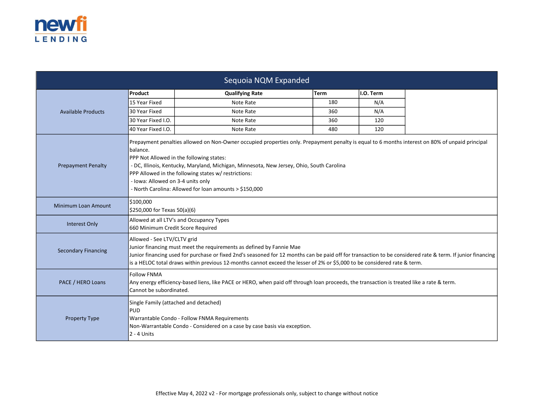

| Sequoia NQM Expanded       |                                                                                                                                                                                                                                                                                                                                                                                                                                                              |                                                                               |             |           |  |
|----------------------------|--------------------------------------------------------------------------------------------------------------------------------------------------------------------------------------------------------------------------------------------------------------------------------------------------------------------------------------------------------------------------------------------------------------------------------------------------------------|-------------------------------------------------------------------------------|-------------|-----------|--|
|                            | Product                                                                                                                                                                                                                                                                                                                                                                                                                                                      | <b>Qualifying Rate</b>                                                        | <b>Term</b> | I.O. Term |  |
|                            | 15 Year Fixed                                                                                                                                                                                                                                                                                                                                                                                                                                                | Note Rate                                                                     | 180         | N/A       |  |
| <b>Available Products</b>  | 30 Year Fixed                                                                                                                                                                                                                                                                                                                                                                                                                                                | Note Rate                                                                     | 360         | N/A       |  |
|                            | 30 Year Fixed I.O.                                                                                                                                                                                                                                                                                                                                                                                                                                           | Note Rate                                                                     | 360         | 120       |  |
|                            | 40 Year Fixed I.O.                                                                                                                                                                                                                                                                                                                                                                                                                                           | Note Rate                                                                     | 480         | 120       |  |
| <b>Prepayment Penalty</b>  | Prepayment penalties allowed on Non-Owner occupied properties only. Prepayment penalty is equal to 6 months interest on 80% of unpaid principal<br>Ibalance.<br>PPP Not Allowed in the following states:<br>- DC, Illinois, Kentucky, Maryland, Michigan, Minnesota, New Jersey, Ohio, South Carolina<br>PPP Allowed in the following states w/ restrictions:<br>- Iowa: Allowed on 3-4 units only<br>- North Carolina: Allowed for loan amounts > \$150,000 |                                                                               |             |           |  |
| <b>Minimum Loan Amount</b> | \$100,000<br>\$250,000 for Texas 50(a)(6)                                                                                                                                                                                                                                                                                                                                                                                                                    |                                                                               |             |           |  |
| Interest Only              |                                                                                                                                                                                                                                                                                                                                                                                                                                                              | Allowed at all LTV's and Occupancy Types<br>660 Minimum Credit Score Required |             |           |  |
| <b>Secondary Financing</b> | Allowed - See LTV/CLTV grid<br>Junior financing must meet the requirements as defined by Fannie Mae<br>Junior financing used for purchase or fixed 2nd's seasoned for 12 months can be paid off for transaction to be considered rate & term. If junior financing<br>is a HELOC total draws within previous 12-months cannot exceed the lesser of 2% or \$5,000 to be considered rate & term.                                                                |                                                                               |             |           |  |
| PACE / HERO Loans          | <b>Follow FNMA</b><br>Any energy efficiency-based liens, like PACE or HERO, when paid off through loan proceeds, the transaction is treated like a rate & term.<br>Cannot be subordinated.                                                                                                                                                                                                                                                                   |                                                                               |             |           |  |
| <b>Property Type</b>       | Single Family (attached and detached)<br><b>PUD</b><br>Warrantable Condo - Follow FNMA Requirements<br>Non-Warrantable Condo - Considered on a case by case basis via exception.<br>2 - 4 Units                                                                                                                                                                                                                                                              |                                                                               |             |           |  |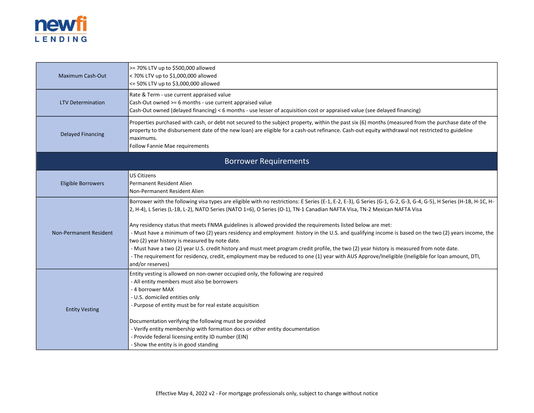

| Maximum Cash-Out          | >= 70% LTV up to \$500,000 allowed<br>< 70% LTV up to \$1,000,000 allowed<br><= 50% LTV up to \$3,000,000 allowed                                                                                                                                                                                                                                                                                                                                                                                                                                                                                                                                                                                                                                                                                                                                                                                                                        |  |  |
|---------------------------|------------------------------------------------------------------------------------------------------------------------------------------------------------------------------------------------------------------------------------------------------------------------------------------------------------------------------------------------------------------------------------------------------------------------------------------------------------------------------------------------------------------------------------------------------------------------------------------------------------------------------------------------------------------------------------------------------------------------------------------------------------------------------------------------------------------------------------------------------------------------------------------------------------------------------------------|--|--|
| <b>LTV Determination</b>  | Rate & Term - use current appraised value<br>Cash-Out owned >= 6 months - use current appraised value<br>Cash-Out owned (delayed financing) < 6 months - use lesser of acquisition cost or appraised value (see delayed financing)                                                                                                                                                                                                                                                                                                                                                                                                                                                                                                                                                                                                                                                                                                       |  |  |
| <b>Delayed Financing</b>  | Properties purchased with cash, or debt not secured to the subject property, within the past six (6) months (measured from the purchase date of the<br>property to the disbursement date of the new loan) are eligible for a cash-out refinance. Cash-out equity withdrawal not restricted to guideline<br>maximums.<br>Follow Fannie Mae requirements                                                                                                                                                                                                                                                                                                                                                                                                                                                                                                                                                                                   |  |  |
|                           | <b>Borrower Requirements</b>                                                                                                                                                                                                                                                                                                                                                                                                                                                                                                                                                                                                                                                                                                                                                                                                                                                                                                             |  |  |
| <b>Eligible Borrowers</b> | <b>US Citizens</b><br>Permanent Resident Alien<br>lNon-Permanent Resident Alien                                                                                                                                                                                                                                                                                                                                                                                                                                                                                                                                                                                                                                                                                                                                                                                                                                                          |  |  |
| Non-Permanent Resident    | Borrower with the following visa types are eligible with no restrictions: E Series (E-1, E-2, E-3), G Series (G-1, G-2, G-3, G-4, G-5), H Series (H-1B, H-1C, H-<br>2, H-4), L Series (L-1B, L-2), NATO Series (NATO 1=6), O Series (O-1), TN-1 Canadian NAFTA Visa, TN-2 Mexican NAFTA Visa<br>Any residency status that meets FNMA guidelines is allowed provided the requirements listed below are met:<br>- Must have a minimum of two (2) years residency and employment history in the U.S. and qualifying income is based on the two (2) years income, the<br>two (2) year history is measured by note date.<br>- Must have a two (2) year U.S. credit history and must meet program credit profile, the two (2) year history is measured from note date.<br>- The requirement for residency, credit, employment may be reduced to one (1) year with AUS Approve/Ineligible (Ineligible for loan amount, DTI,<br>and/or reserves) |  |  |
| <b>Entity Vesting</b>     | Entity vesting is allowed on non-owner occupied only, the following are required<br>- All entity members must also be borrowers<br>- 4 borrower MAX<br>- U.S. domiciled entities only<br>- Purpose of entity must be for real estate acquisition<br>Documentation verifying the following must be provided<br>- Verify entity membership with formation docs or other entity documentation<br>- Provide federal licensing entity ID number (EIN)<br>- Show the entity is in good standing                                                                                                                                                                                                                                                                                                                                                                                                                                                |  |  |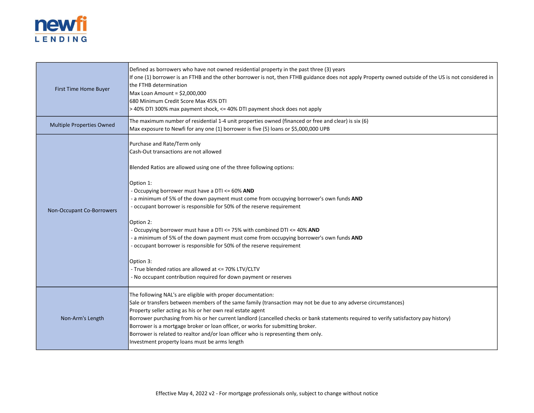

| First Time Home Buyer     | Defined as borrowers who have not owned residential property in the past three (3) years<br>If one (1) borrower is an FTHB and the other borrower is not, then FTHB guidance does not apply Property owned outside of the US is not considered in<br>the FTHB determination<br>Max Loan Amount = \$2,000,000<br>1680 Minimum Credit Score Max 45% DTI<br>> 40% DTI 300% max payment shock, <= 40% DTI payment shock does not apply                                                                                                                                                                                                                                                                                                                                                     |
|---------------------------|----------------------------------------------------------------------------------------------------------------------------------------------------------------------------------------------------------------------------------------------------------------------------------------------------------------------------------------------------------------------------------------------------------------------------------------------------------------------------------------------------------------------------------------------------------------------------------------------------------------------------------------------------------------------------------------------------------------------------------------------------------------------------------------|
| Multiple Properties Owned | The maximum number of residential 1-4 unit properties owned (financed or free and clear) is six (6)<br>Max exposure to Newfi for any one (1) borrower is five (5) loans or \$5,000,000 UPB                                                                                                                                                                                                                                                                                                                                                                                                                                                                                                                                                                                             |
| Non-Occupant Co-Borrowers | Purchase and Rate/Term only<br>Cash-Out transactions are not allowed<br>Blended Ratios are allowed using one of the three following options:<br>Option 1:<br>- Occupying borrower must have a DTI <= 60% AND<br>- a minimum of 5% of the down payment must come from occupying borrower's own funds AND<br>- occupant borrower is responsible for 50% of the reserve requirement<br>Option 2:<br>- Occupying borrower must have a DTI <= 75% with combined DTI <= 40% AND<br>- a minimum of 5% of the down payment must come from occupying borrower's own funds AND<br>- occupant borrower is responsible for 50% of the reserve requirement<br>Option 3:<br>- True blended ratios are allowed at <= 70% LTV/CLTV<br>- No occupant contribution required for down payment or reserves |
| Non-Arm's Length          | The following NAL's are eligible with proper documentation:<br>Sale or transfers between members of the same family (transaction may not be due to any adverse circumstances)<br>Property seller acting as his or her own real estate agent<br>Borrower purchasing from his or her current landlord (cancelled checks or bank statements required to verify satisfactory pay history)<br>Borrower is a mortgage broker or loan officer, or works for submitting broker.<br>Borrower is related to realtor and/or loan officer who is representing them only.<br>Investment property loans must be arms length                                                                                                                                                                          |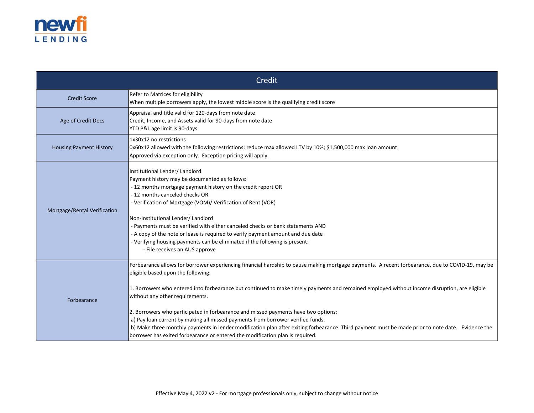

| Credit                         |                                                                                                                                                                                                                                                                                                                                                                                                                                                                                                                                                                                                                                                                                                                                                                                           |  |  |  |
|--------------------------------|-------------------------------------------------------------------------------------------------------------------------------------------------------------------------------------------------------------------------------------------------------------------------------------------------------------------------------------------------------------------------------------------------------------------------------------------------------------------------------------------------------------------------------------------------------------------------------------------------------------------------------------------------------------------------------------------------------------------------------------------------------------------------------------------|--|--|--|
| <b>Credit Score</b>            | Refer to Matrices for eligibility<br>When multiple borrowers apply, the lowest middle score is the qualifying credit score                                                                                                                                                                                                                                                                                                                                                                                                                                                                                                                                                                                                                                                                |  |  |  |
| Age of Credit Docs             | Appraisal and title valid for 120-days from note date<br>Credit, Income, and Assets valid for 90-days from note date<br>YTD P&L age limit is 90-days                                                                                                                                                                                                                                                                                                                                                                                                                                                                                                                                                                                                                                      |  |  |  |
| <b>Housing Payment History</b> | 1x30x12 no restrictions<br>0x60x12 allowed with the following restrictions: reduce max allowed LTV by 10%; \$1,500,000 max loan amount<br>Approved via exception only. Exception pricing will apply.                                                                                                                                                                                                                                                                                                                                                                                                                                                                                                                                                                                      |  |  |  |
| Mortgage/Rental Verification   | Institutional Lender/ Landlord<br>Payment history may be documented as follows:<br>- 12 months mortgage payment history on the credit report OR<br>- 12 months canceled checks OR<br>- Verification of Mortgage (VOM)/ Verification of Rent (VOR)<br>Non-Institutional Lender/ Landlord<br>- Payments must be verified with either canceled checks or bank statements AND<br>- A copy of the note or lease is required to verify payment amount and due date<br>- Verifying housing payments can be eliminated if the following is present:<br>- File receives an AUS approve                                                                                                                                                                                                             |  |  |  |
| Forbearance                    | Forbearance allows for borrower experiencing financial hardship to pause making mortgage payments. A recent forbearance, due to COVID-19, may be<br>eligible based upon the following:<br>1. Borrowers who entered into forbearance but continued to make timely payments and remained employed without income disruption, are eligible<br>without any other requirements.<br>2. Borrowers who participated in forbearance and missed payments have two options:<br>a) Pay loan current by making all missed payments from borrower verified funds.<br>b) Make three monthly payments in lender modification plan after exiting forbearance. Third payment must be made prior to note date. Evidence the<br>borrower has exited forbearance or entered the modification plan is required. |  |  |  |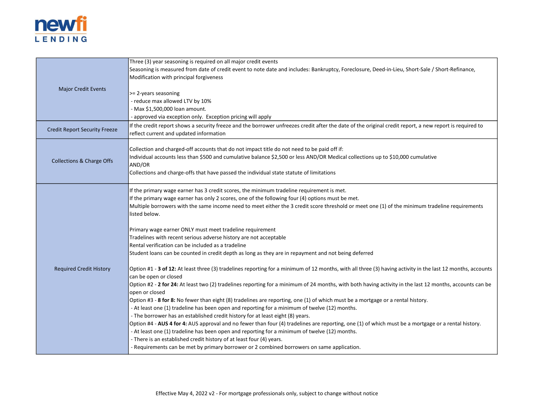

|                                      | Three (3) year seasoning is required on all major credit events                                                                                             |
|--------------------------------------|-------------------------------------------------------------------------------------------------------------------------------------------------------------|
|                                      | Seasoning is measured from date of credit event to note date and includes: Bankruptcy, Foreclosure, Deed-in-Lieu, Short-Sale / Short-Refinance,             |
|                                      | Modification with principal forgiveness                                                                                                                     |
|                                      |                                                                                                                                                             |
| <b>Major Credit Events</b>           | >= 2-years seasoning                                                                                                                                        |
|                                      | - reduce max allowed LTV by 10%                                                                                                                             |
|                                      | - Max \$1,500,000 loan amount.                                                                                                                              |
|                                      | - approved via exception only. Exception pricing will apply                                                                                                 |
|                                      | If the credit report shows a security freeze and the borrower unfreezes credit after the date of the original credit report, a new report is required to    |
| <b>Credit Report Security Freeze</b> | reflect current and updated information                                                                                                                     |
|                                      |                                                                                                                                                             |
|                                      | Collection and charged-off accounts that do not impact title do not need to be paid off if:                                                                 |
|                                      | Individual accounts less than \$500 and cumulative balance \$2,500 or less AND/OR Medical collections up to \$10,000 cumulative                             |
| <b>Collections &amp; Charge Offs</b> | AND/OR                                                                                                                                                      |
|                                      | Collections and charge-offs that have passed the individual state statute of limitations                                                                    |
|                                      |                                                                                                                                                             |
|                                      | If the primary wage earner has 3 credit scores, the minimum tradeline requirement is met.                                                                   |
|                                      | If the primary wage earner has only 2 scores, one of the following four (4) options must be met.                                                            |
|                                      | Multiple borrowers with the same income need to meet either the 3 credit score threshold or meet one (1) of the minimum tradeline requirements              |
|                                      | listed below.                                                                                                                                               |
|                                      |                                                                                                                                                             |
|                                      | Primary wage earner ONLY must meet tradeline requirement                                                                                                    |
|                                      | Tradelines with recent serious adverse history are not acceptable                                                                                           |
|                                      | Rental verification can be included as a tradeline                                                                                                          |
|                                      | Student loans can be counted in credit depth as long as they are in repayment and not being deferred                                                        |
|                                      |                                                                                                                                                             |
| <b>Required Credit History</b>       | Option #1 - 3 of 12: At least three (3) tradelines reporting for a minimum of 12 months, with all three (3) having activity in the last 12 months, accounts |
|                                      | can be open or closed                                                                                                                                       |
|                                      | Option #2 - 2 for 24: At least two (2) tradelines reporting for a minimum of 24 months, with both having activity in the last 12 months, accounts can be    |
|                                      | open or closed                                                                                                                                              |
|                                      | Option #3 - 8 for 8: No fewer than eight (8) tradelines are reporting, one (1) of which must be a mortgage or a rental history.                             |
|                                      | - At least one (1) tradeline has been open and reporting for a minimum of twelve (12) months.                                                               |
|                                      | - The borrower has an established credit history for at least eight (8) years.                                                                              |
|                                      | Option #4 - AUS 4 for 4: AUS approval and no fewer than four (4) tradelines are reporting, one (1) of which must be a mortgage or a rental history.         |
|                                      | - At least one (1) tradeline has been open and reporting for a minimum of twelve (12) months.                                                               |
|                                      | - There is an established credit history of at least four (4) years.                                                                                        |
|                                      | - Requirements can be met by primary borrower or 2 combined borrowers on same application.                                                                  |
|                                      |                                                                                                                                                             |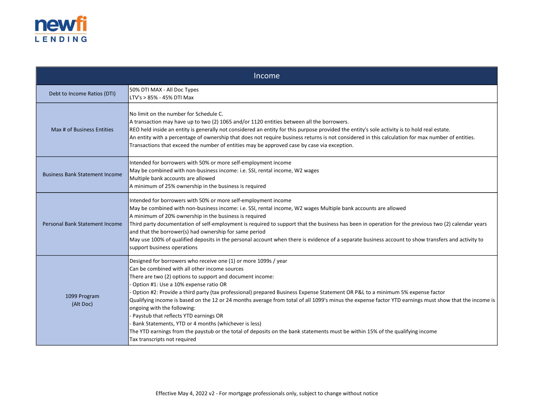

| Income                                |                                                                                                                                                                                                                                                                                                                                                                                                                                                                                                                                                                                                                                                                                                                                                                                                                         |  |  |
|---------------------------------------|-------------------------------------------------------------------------------------------------------------------------------------------------------------------------------------------------------------------------------------------------------------------------------------------------------------------------------------------------------------------------------------------------------------------------------------------------------------------------------------------------------------------------------------------------------------------------------------------------------------------------------------------------------------------------------------------------------------------------------------------------------------------------------------------------------------------------|--|--|
| Debt to Income Ratios (DTI)           | 50% DTI MAX - All Doc Types<br>LTV's > 85% - 45% DTI Max                                                                                                                                                                                                                                                                                                                                                                                                                                                                                                                                                                                                                                                                                                                                                                |  |  |
| Max # of Business Entities            | No limit on the number for Schedule C.<br>A transaction may have up to two (2) 1065 and/or 1120 entities between all the borrowers.<br>REO held inside an entity is generally not considered an entity for this purpose provided the entity's sole activity is to hold real estate.<br>An entity with a percentage of ownership that does not require business returns is not considered in this calculation for max number of entities.<br>Transactions that exceed the number of entities may be approved case by case via exception.                                                                                                                                                                                                                                                                                 |  |  |
| <b>Business Bank Statement Income</b> | Intended for borrowers with 50% or more self-employment income<br>May be combined with non-business income: i.e. SSI, rental income, W2 wages<br>Multiple bank accounts are allowed<br>A minimum of 25% ownership in the business is required                                                                                                                                                                                                                                                                                                                                                                                                                                                                                                                                                                           |  |  |
| <b>Personal Bank Statement Income</b> | Intended for borrowers with 50% or more self-employment income<br>May be combined with non-business income: i.e. SSI, rental income, W2 wages Multiple bank accounts are allowed<br>A minimum of 20% ownership in the business is required<br>Third party documentation of self-employment is required to support that the business has been in operation for the previous two (2) calendar years<br>and that the borrower(s) had ownership for same period<br>May use 100% of qualified deposits in the personal account when there is evidence of a separate business account to show transfers and activity to<br>support business operations                                                                                                                                                                        |  |  |
| 1099 Program<br>(Alt Doc)             | Designed for borrowers who receive one (1) or more 1099s / year<br>Can be combined with all other income sources<br>There are two (2) options to support and document income:<br>- Option #1: Use a 10% expense ratio OR<br>- Option #2: Provide a third party (tax professional) prepared Business Expense Statement OR P&L to a minimum 5% expense factor<br>Qualifying income is based on the 12 or 24 months average from total of all 1099's minus the expense factor YTD earnings must show that the income is<br>ongoing with the following:<br>- Paystub that reflects YTD earnings OR<br>Bank Statements, YTD or 4 months (whichever is less)<br>The YTD earnings from the paystub or the total of deposits on the bank statements must be within 15% of the qualifying income<br>Tax transcripts not required |  |  |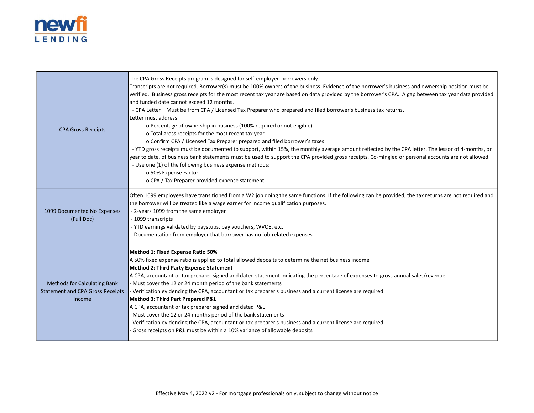

| <b>CPA Gross Receipts</b>                                                                | The CPA Gross Receipts program is designed for self-employed borrowers only.<br>Transcripts are not required. Borrower(s) must be 100% owners of the business. Evidence of the borrower's business and ownership position must be<br>verified. Business gross receipts for the most recent tax year are based on data provided by the borrower's CPA. A gap between tax year data provided<br>and funded date cannot exceed 12 months.<br>- CPA Letter - Must be from CPA / Licensed Tax Preparer who prepared and filed borrower's business tax returns.<br>Letter must address:<br>o Percentage of ownership in business (100% required or not eligible)<br>o Total gross receipts for the most recent tax year<br>o Confirm CPA / Licensed Tax Preparer prepared and filed borrower's taxes<br>- YTD gross receipts must be documented to support, within 15%, the monthly average amount reflected by the CPA letter. The lessor of 4-months, or<br>year to date, of business bank statements must be used to support the CPA provided gross receipts. Co-mingled or personal accounts are not allowed.<br>- Use one (1) of the following business expense methods:<br>o 50% Expense Factor<br>o CPA / Tax Preparer provided expense statement |
|------------------------------------------------------------------------------------------|----------------------------------------------------------------------------------------------------------------------------------------------------------------------------------------------------------------------------------------------------------------------------------------------------------------------------------------------------------------------------------------------------------------------------------------------------------------------------------------------------------------------------------------------------------------------------------------------------------------------------------------------------------------------------------------------------------------------------------------------------------------------------------------------------------------------------------------------------------------------------------------------------------------------------------------------------------------------------------------------------------------------------------------------------------------------------------------------------------------------------------------------------------------------------------------------------------------------------------------------------|
| 1099 Documented No Expenses<br>(Full Doc)                                                | Often 1099 employees have transitioned from a W2 job doing the same functions. If the following can be provided, the tax returns are not required and<br>the borrower will be treated like a wage earner for income qualification purposes.<br>- 2-years 1099 from the same employer<br>- 1099 transcripts<br>- YTD earnings validated by paystubs, pay vouchers, WVOE, etc.<br>- Documentation from employer that borrower has no job-related expenses                                                                                                                                                                                                                                                                                                                                                                                                                                                                                                                                                                                                                                                                                                                                                                                            |
| <b>Methods for Calculating Bank</b><br><b>Statement and CPA Gross Receipts</b><br>Income | Method 1: Fixed Expense Ratio 50%<br>A 50% fixed expense ratio is applied to total allowed deposits to determine the net business income<br>Method 2: Third Party Expense Statement<br>A CPA, accountant or tax preparer signed and dated statement indicating the percentage of expenses to gross annual sales/revenue<br>- Must cover the 12 or 24 month period of the bank statements<br>- Verification evidencing the CPA, accountant or tax preparer's business and a current license are required<br>Method 3: Third Part Prepared P&L<br>A CPA, accountant or tax preparer signed and dated P&L<br>- Must cover the 12 or 24 months period of the bank statements<br>Verification evidencing the CPA, accountant or tax preparer's business and a current license are required<br>- Gross receipts on P&L must be within a 10% variance of allowable deposits                                                                                                                                                                                                                                                                                                                                                                               |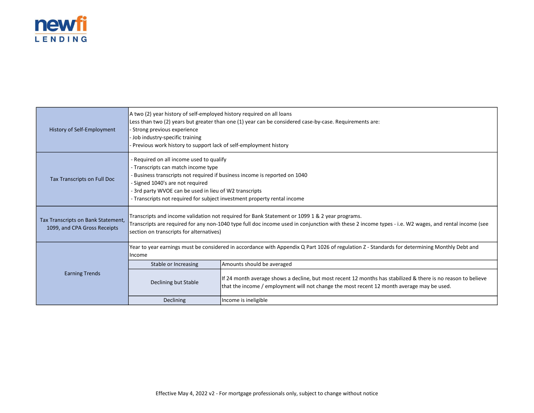

| History of Self-Employment                                         | A two (2) year history of self-employed history required on all loans<br>Less than two (2) years but greater than one (1) year can be considered case-by-case. Requirements are:<br>Strong previous experience<br>Job industry-specific training<br>Previous work history to support lack of self-employment history                    |                                                                                                                                                                                                             |  |
|--------------------------------------------------------------------|-----------------------------------------------------------------------------------------------------------------------------------------------------------------------------------------------------------------------------------------------------------------------------------------------------------------------------------------|-------------------------------------------------------------------------------------------------------------------------------------------------------------------------------------------------------------|--|
| Tax Transcripts on Full Doc                                        | - Required on all income used to qualify<br>- Transcripts can match income type<br>- Business transcripts not required if business income is reported on 1040<br>- Signed 1040's are not required<br>- 3rd party WVOE can be used in lieu of W2 transcripts<br>- Transcripts not required for subject investment property rental income |                                                                                                                                                                                                             |  |
| Tax Transcripts on Bank Statement,<br>1099, and CPA Gross Receipts | Transcripts and income validation not required for Bank Statement or 1099 1 & 2 year programs.<br>Transcripts are required for any non-1040 type full doc income used in conjunction with these 2 income types - i.e. W2 wages, and rental income (see<br>section on transcripts for alternatives)                                      |                                                                                                                                                                                                             |  |
|                                                                    | Income                                                                                                                                                                                                                                                                                                                                  | Year to year earnings must be considered in accordance with Appendix Q Part 1026 of regulation Z - Standards for determining Monthly Debt and                                                               |  |
|                                                                    | Stable or Increasing                                                                                                                                                                                                                                                                                                                    | Amounts should be averaged                                                                                                                                                                                  |  |
| <b>Earning Trends</b>                                              | Declining but Stable                                                                                                                                                                                                                                                                                                                    | If 24 month average shows a decline, but most recent 12 months has stabilized & there is no reason to believe<br>that the income / employment will not change the most recent 12 month average may be used. |  |
|                                                                    | <b>Declining</b>                                                                                                                                                                                                                                                                                                                        | Income is ineligible                                                                                                                                                                                        |  |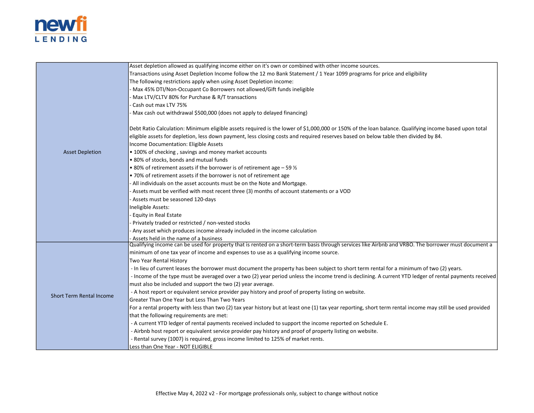

|                                 | Asset depletion allowed as qualifying income either on it's own or combined with other income sources.                                                     |
|---------------------------------|------------------------------------------------------------------------------------------------------------------------------------------------------------|
|                                 | Transactions using Asset Depletion Income follow the 12 mo Bank Statement / 1 Year 1099 programs for price and eligibility                                 |
|                                 | The following restrictions apply when using Asset Depletion income:                                                                                        |
|                                 | Max 45% DTI/Non-Occupant Co Borrowers not allowed/Gift funds ineligible                                                                                    |
|                                 | Max LTV/CLTV 80% for Purchase & R/T transactions                                                                                                           |
|                                 | Cash out max LTV 75%                                                                                                                                       |
|                                 | Max cash out withdrawal \$500,000 (does not apply to delayed financing)                                                                                    |
|                                 | Debt Ratio Calculation: Minimum eligible assets required is the lower of \$1,000,000 or 150% of the loan balance. Qualifying income based upon total       |
|                                 | eligible assets for depletion, less down payment, less closing costs and required reserves based on below table then divided by 84.                        |
|                                 | Income Documentation: Eligible Assets                                                                                                                      |
| <b>Asset Depletion</b>          | • 100% of checking, savings and money market accounts                                                                                                      |
|                                 | • 80% of stocks, bonds and mutual funds                                                                                                                    |
|                                 | • 80% of retirement assets if the borrower is of retirement age $-59\%$                                                                                    |
|                                 | • 70% of retirement assets if the borrower is not of retirement age                                                                                        |
|                                 | - All individuals on the asset accounts must be on the Note and Mortgage.                                                                                  |
|                                 | - Assets must be verified with most recent three (3) months of account statements or a VOD                                                                 |
|                                 | - Assets must be seasoned 120-days                                                                                                                         |
|                                 | Ineligible Assets:                                                                                                                                         |
|                                 | Equity in Real Estate                                                                                                                                      |
|                                 | Privately traded or restricted / non-vested stocks                                                                                                         |
|                                 | Any asset which produces income already included in the income calculation                                                                                 |
|                                 | Assets held in the name of a business                                                                                                                      |
|                                 | Qualifying income can be used for property that is rented on a short-term basis through services like Airbnb and VRBO. The borrower must document a        |
|                                 | minimum of one tax year of income and expenses to use as a qualifying income source.                                                                       |
|                                 | Two Year Rental History                                                                                                                                    |
|                                 | - In lieu of current leases the borrower must document the property has been subject to short term rental for a minimum of two (2) years.                  |
|                                 | - Income of the type must be averaged over a two (2) year period unless the income trend is declining. A current YTD ledger of rental payments received    |
|                                 | must also be included and support the two (2) year average.                                                                                                |
| <b>Short Term Rental Income</b> | - A host report or equivalent service provider pay history and proof of property listing on website.                                                       |
|                                 | Greater Than One Year but Less Than Two Years                                                                                                              |
|                                 | For a rental property with less than two (2) tax year history but at least one (1) tax year reporting, short term rental income may still be used provided |
|                                 | that the following requirements are met:                                                                                                                   |
|                                 | - A current YTD ledger of rental payments received included to support the income reported on Schedule E.                                                  |
|                                 | - Airbnb host report or equivalent service provider pay history and proof of property listing on website.                                                  |
|                                 | - Rental survey (1007) is required, gross income limited to 125% of market rents.                                                                          |
|                                 | Less than One Year - NOT ELIGIBLE                                                                                                                          |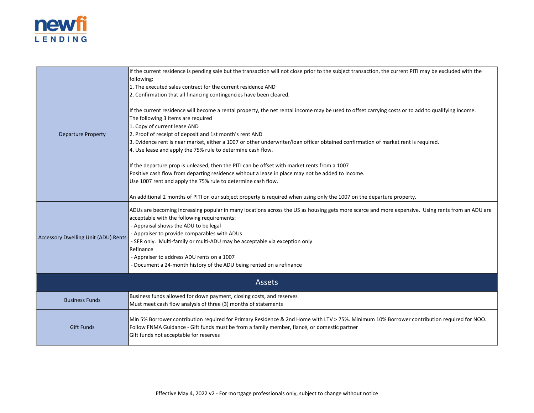

| <b>Departure Property</b>           | If the current residence is pending sale but the transaction will not close prior to the subject transaction, the current PITI may be excluded with the<br>following:<br>1. The executed sales contract for the current residence AND<br>2. Confirmation that all financing contingencies have been cleared.<br>If the current residence will become a rental property, the net rental income may be used to offset carrying costs or to add to qualifying income.<br>The following 3 items are required<br>1. Copy of current lease AND<br>2. Proof of receipt of deposit and 1st month's rent AND<br>3. Evidence rent is near market, either a 1007 or other underwriter/loan officer obtained confirmation of market rent is required.<br>4. Use lease and apply the 75% rule to determine cash flow.<br>If the departure prop is unleased, then the PITI can be offset with market rents from a 1007<br>Positive cash flow from departing residence without a lease in place may not be added to income.<br>Use 1007 rent and apply the 75% rule to determine cash flow.<br>An additional 2 months of PITI on our subject property is required when using only the 1007 on the departure property. |
|-------------------------------------|--------------------------------------------------------------------------------------------------------------------------------------------------------------------------------------------------------------------------------------------------------------------------------------------------------------------------------------------------------------------------------------------------------------------------------------------------------------------------------------------------------------------------------------------------------------------------------------------------------------------------------------------------------------------------------------------------------------------------------------------------------------------------------------------------------------------------------------------------------------------------------------------------------------------------------------------------------------------------------------------------------------------------------------------------------------------------------------------------------------------------------------------------------------------------------------------------------|
| Accessory Dwelling Unit (ADU) Rents | ADUs are becoming increasing popular in many locations across the US as housing gets more scarce and more expensive. Using rents from an ADU are<br>acceptable with the following requirements:<br>- Appraisal shows the ADU to be legal<br>- Appraiser to provide comparables with ADUs<br>- SFR only. Multi-family or multi-ADU may be acceptable via exception only<br>Refinance<br>- Appraiser to address ADU rents on a 1007<br>- Document a 24-month history of the ADU being rented on a refinance                                                                                                                                                                                                                                                                                                                                                                                                                                                                                                                                                                                                                                                                                              |
|                                     | <b>Assets</b>                                                                                                                                                                                                                                                                                                                                                                                                                                                                                                                                                                                                                                                                                                                                                                                                                                                                                                                                                                                                                                                                                                                                                                                          |
| <b>Business Funds</b>               | Business funds allowed for down payment, closing costs, and reserves<br>Must meet cash flow analysis of three (3) months of statements                                                                                                                                                                                                                                                                                                                                                                                                                                                                                                                                                                                                                                                                                                                                                                                                                                                                                                                                                                                                                                                                 |
| <b>Gift Funds</b>                   | Min 5% Borrower contribution required for Primary Residence & 2nd Home with LTV > 75%. Minimum 10% Borrower contribution required for NOO.<br>Follow FNMA Guidance - Gift funds must be from a family member, fiancé, or domestic partner<br>Gift funds not acceptable for reserves                                                                                                                                                                                                                                                                                                                                                                                                                                                                                                                                                                                                                                                                                                                                                                                                                                                                                                                    |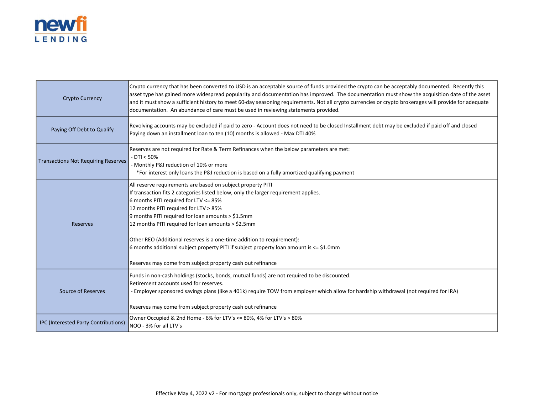

| <b>Crypto Currency</b>                     | Crypto currency that has been converted to USD is an acceptable source of funds provided the crypto can be acceptably documented. Recently this<br>asset type has gained more widespread popularity and documentation has improved. The documentation must show the acquisition date of the asset<br>and it must show a sufficient history to meet 60-day seasoning requirements. Not all crypto currencies or crypto brokerages will provide for adequate<br>documentation. An abundance of care must be used in reviewing statements provided.                                       |
|--------------------------------------------|----------------------------------------------------------------------------------------------------------------------------------------------------------------------------------------------------------------------------------------------------------------------------------------------------------------------------------------------------------------------------------------------------------------------------------------------------------------------------------------------------------------------------------------------------------------------------------------|
| Paying Off Debt to Qualify                 | Revolving accounts may be excluded if paid to zero - Account does not need to be closed Installment debt may be excluded if paid off and closed<br>Paying down an installment loan to ten (10) months is allowed - Max DTI 40%                                                                                                                                                                                                                                                                                                                                                         |
| <b>Transactions Not Requiring Reserves</b> | Reserves are not required for Rate & Term Refinances when the below parameters are met:<br>$-$ DTI < 50%<br>- Monthly P&I reduction of 10% or more<br>*For interest only loans the P&I reduction is based on a fully amortized qualifying payment                                                                                                                                                                                                                                                                                                                                      |
| <b>Reserves</b>                            | All reserve requirements are based on subject property PITI<br>If transaction fits 2 categories listed below, only the larger requirement applies.<br>6 months PITI required for LTV <= 85%<br>12 months PITI required for LTV > 85%<br>9 months PITI required for loan amounts > \$1.5mm<br>12 months PITI required for loan amounts > \$2.5mm<br>Other REO (Additional reserves is a one-time addition to requirement):<br>6 months additional subject property PITI if subject property loan amount is $\leq$ \$1.0mm<br>Reserves may come from subject property cash out refinance |
| <b>Source of Reserves</b>                  | Funds in non-cash holdings (stocks, bonds, mutual funds) are not required to be discounted.<br>Retirement accounts used for reserves.<br>- Employer sponsored savings plans (like a 401k) require TOW from employer which allow for hardship withdrawal (not required for IRA)<br>Reserves may come from subject property cash out refinance                                                                                                                                                                                                                                           |
| IPC (Interested Party Contributions)       | Owner Occupied & 2nd Home - 6% for LTV's <= 80%, 4% for LTV's > 80%<br>NOO - 3% for all LTV's                                                                                                                                                                                                                                                                                                                                                                                                                                                                                          |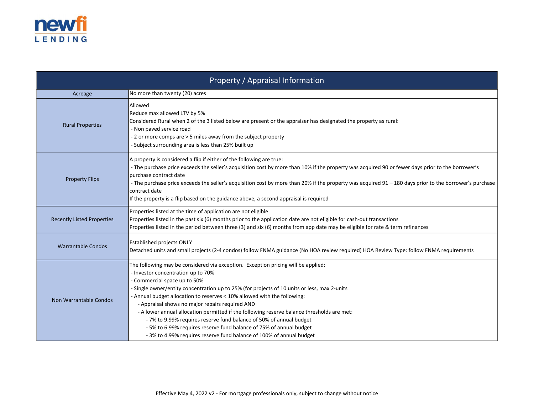

| Property / Appraisal Information  |                                                                                                                                                                                                                                                                                                                                                                                                                                                                                                                                                                                                                                                                                                            |  |
|-----------------------------------|------------------------------------------------------------------------------------------------------------------------------------------------------------------------------------------------------------------------------------------------------------------------------------------------------------------------------------------------------------------------------------------------------------------------------------------------------------------------------------------------------------------------------------------------------------------------------------------------------------------------------------------------------------------------------------------------------------|--|
| Acreage                           | No more than twenty (20) acres                                                                                                                                                                                                                                                                                                                                                                                                                                                                                                                                                                                                                                                                             |  |
| <b>Rural Properties</b>           | Allowed<br>Reduce max allowed LTV by 5%<br>Considered Rural when 2 of the 3 listed below are present or the appraiser has designated the property as rural:<br>- Non paved service road<br>- 2 or more comps are > 5 miles away from the subject property<br>- Subject surrounding area is less than 25% built up                                                                                                                                                                                                                                                                                                                                                                                          |  |
| <b>Property Flips</b>             | A property is considered a flip if either of the following are true:<br>- The purchase price exceeds the seller's acquisition cost by more than 10% if the property was acquired 90 or fewer days prior to the borrower's<br>purchase contract date<br>- The purchase price exceeds the seller's acquisition cost by more than 20% if the property was acquired 91 - 180 days prior to the borrower's purchase<br>contract date<br>If the property is a flip based on the guidance above, a second appraisal is required                                                                                                                                                                                   |  |
| <b>Recently Listed Properties</b> | Properties listed at the time of application are not eligible<br>Properties listed in the past six (6) months prior to the application date are not eligible for cash-out transactions<br>Properties listed in the period between three (3) and six (6) months from app date may be eligible for rate & term refinances                                                                                                                                                                                                                                                                                                                                                                                    |  |
| <b>Warrantable Condos</b>         | <b>Established projects ONLY</b><br>Detached units and small projects (2-4 condos) follow FNMA guidance (No HOA review required) HOA Review Type: follow FNMA requirements                                                                                                                                                                                                                                                                                                                                                                                                                                                                                                                                 |  |
| Non Warrantable Condos            | The following may be considered via exception. Exception pricing will be applied:<br>- Investor concentration up to 70%<br>- Commercial space up to 50%<br>- Single owner/entity concentration up to 25% (for projects of 10 units or less, max 2-units<br>- Annual budget allocation to reserves < 10% allowed with the following:<br>- Appraisal shows no major repairs required AND<br>- A lower annual allocation permitted if the following reserve balance thresholds are met:<br>- 7% to 9.99% requires reserve fund balance of 50% of annual budget<br>- 5% to 6.99% requires reserve fund balance of 75% of annual budget<br>- 3% to 4.99% requires reserve fund balance of 100% of annual budget |  |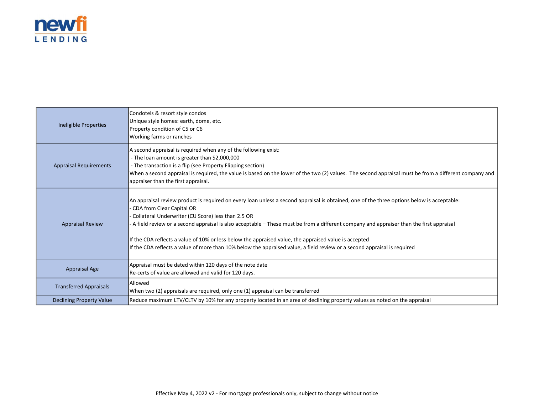

| Ineligible Properties         | Condotels & resort style condos<br>Unique style homes: earth, dome, etc.<br>Property condition of C5 or C6<br>Working farms or ranches                                                                                                                                                                                                                                                                                                                                                                                                                                                                            |
|-------------------------------|-------------------------------------------------------------------------------------------------------------------------------------------------------------------------------------------------------------------------------------------------------------------------------------------------------------------------------------------------------------------------------------------------------------------------------------------------------------------------------------------------------------------------------------------------------------------------------------------------------------------|
| <b>Appraisal Requirements</b> | A second appraisal is required when any of the following exist:<br>- The loan amount is greater than \$2,000,000<br>- The transaction is a flip (see Property Flipping section)<br>When a second appraisal is required, the value is based on the lower of the two (2) values. The second appraisal must be from a different company and<br>appraiser than the first appraisal.                                                                                                                                                                                                                                   |
| <b>Appraisal Review</b>       | An appraisal review product is required on every loan unless a second appraisal is obtained, one of the three options below is acceptable:<br>- CDA from Clear Capital OR<br>Collateral Underwriter (CU Score) less than 2.5 OR<br>- A field review or a second appraisal is also acceptable – These must be from a different company and appraiser than the first appraisal<br>If the CDA reflects a value of 10% or less below the appraised value, the appraised value is accepted<br>If the CDA reflects a value of more than 10% below the appraised value, a field review or a second appraisal is required |
| <b>Appraisal Age</b>          | Appraisal must be dated within 120 days of the note date<br>Re-certs of value are allowed and valid for 120 days.                                                                                                                                                                                                                                                                                                                                                                                                                                                                                                 |
| <b>Transferred Appraisals</b> | Allowed<br>When two (2) appraisals are required, only one (1) appraisal can be transferred                                                                                                                                                                                                                                                                                                                                                                                                                                                                                                                        |
| Declining Property Value      | Reduce maximum LTV/CLTV by 10% for any property located in an area of declining property values as noted on the appraisal                                                                                                                                                                                                                                                                                                                                                                                                                                                                                         |